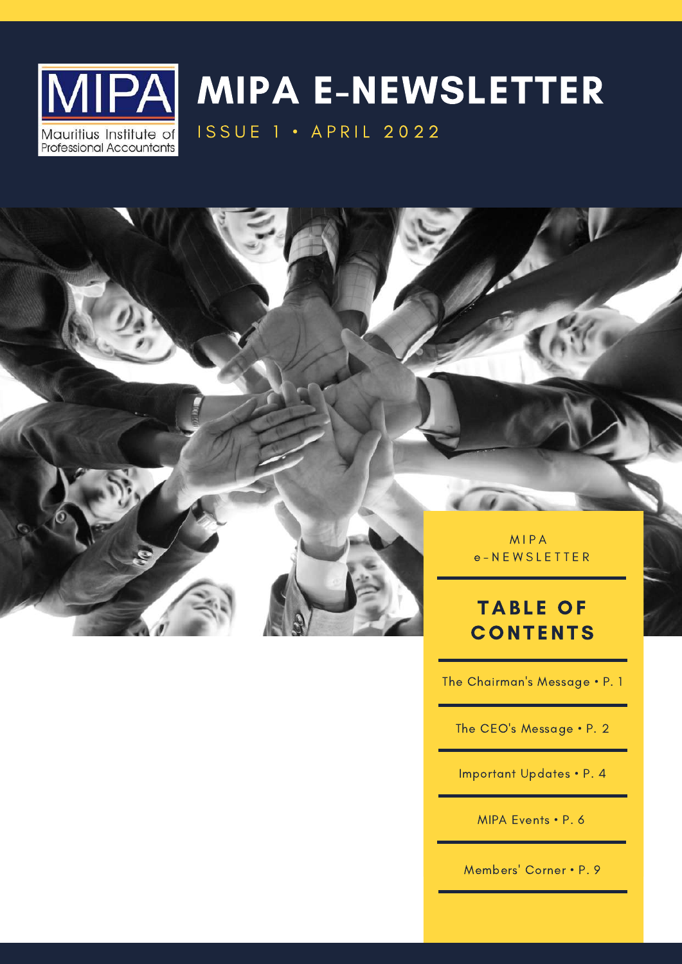

# MIPA E-NEWSLETTER

**ISSUE 1 • APRIL 2022** 



M I P A e - N E W S L E T T E R

### **TABLE OF CONTENTS**

The Chairman's Message • P. 1

The CEO's Message • P. 2

Important Updates • P. 4

MIPA Events • P. 6

Members' Corner • P. 9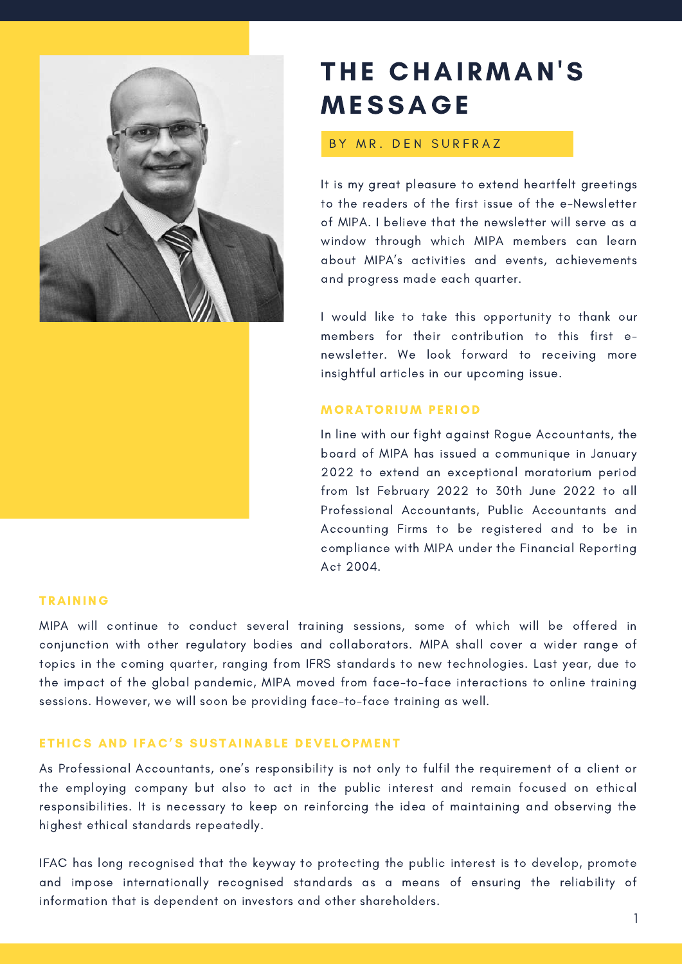

### THE CHAIRMAN'S MESSAGE

#### BY MR. DEN SURFRAZ

It is my great pleasure to extend heartfelt greetings to the readers of the first issue of the e-Newsletter of MIPA. I believe that the newsletter will serve as a window through which MIPA members can learn about MIPA's activities and events, achievements and progress made each quarter.

I would like to take this opportunity to thank our members for their contribution to this first enewsletter. We look forward to receiving more insightful articles in our upcoming issue.

#### **MORATORIUM PERIOD**

In line with our fight against Rogue Accountants, the board of MIPA has issued a communique in January 2022 to extend an exceptional moratorium period from 1st February 2022 to 30th June 2022 to all Professional Accountants, Public Accountants and Accounting Firms to be registered and to be in compliance with MIPA under the Financial Reporting Act 2004.

#### **TRAINING**

MIPA will continue to conduct several training sessions, some of which will be offered in conjunction with other regulatory bodies and collaborators. MIPA shall cover a wider range of topics in the coming quarter, ranging from IFRS standards to new technologies. Last year, due to the impact of the global pandemic, MIPA moved from face-to-face interactions to online training sessions. However, we will soon be providing face-to-face training as well.

#### ETHICS AND IFAC'S SUSTAINABLE DEVELOPMENT

As Professional Accountants, one's responsibility is not only to fulfil the requirement of a client or the employing company but also to act in the public interest and remain focused on ethical responsibilities. It is necessary to keep on reinforcing the idea of maintaining and observing the highest ethical standards repeatedly.

IFAC has long recognised that the keyway to protecting the public interest is to develop, promote and impose internationally recognised standards as a means of ensuring the reliability of information that is dependent on investors and other shareholders.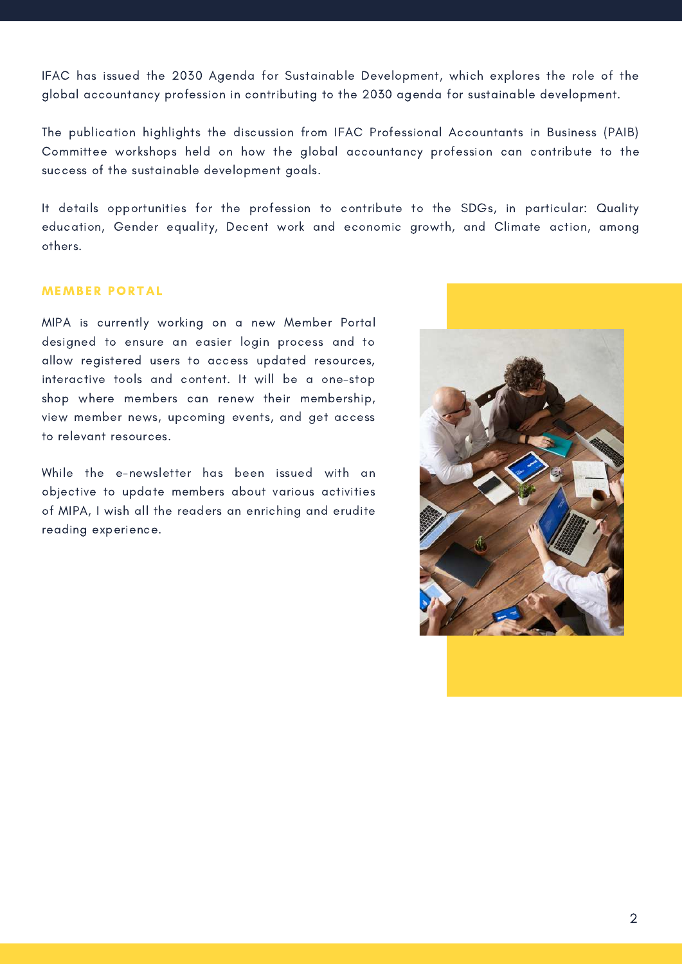IFAC has issued the 2030 Agenda for Sustainable Development, which explores the role of the global accountancy profession in contributing to the 2030 agenda for sustainable development.

The publication highlights the discussion from IFAC Professional Accountants in Business (PAIB) Committee workshops held on how the global accountancy profession can contribute to the success of the sustainable development goals.

It details opportunities for the profession to contribute to the SDGs, in particular: Quality education, Gender equality, Decent work and economic growth, and Climate action, among others.

#### **MEMBER PORTAL**

MIPA is currently working on a new Member Portal designed to ensure an easier login process and to allow registered users to access updated resources, interactive tools and content. It will be a one-stop shop where members can renew their membership, view member news, upcoming events, and get access to relevant resources.

While the e-newsletter has been issued with an objective to update members about various activities of MIPA, I wish all the readers an enriching and erudite reading experience.

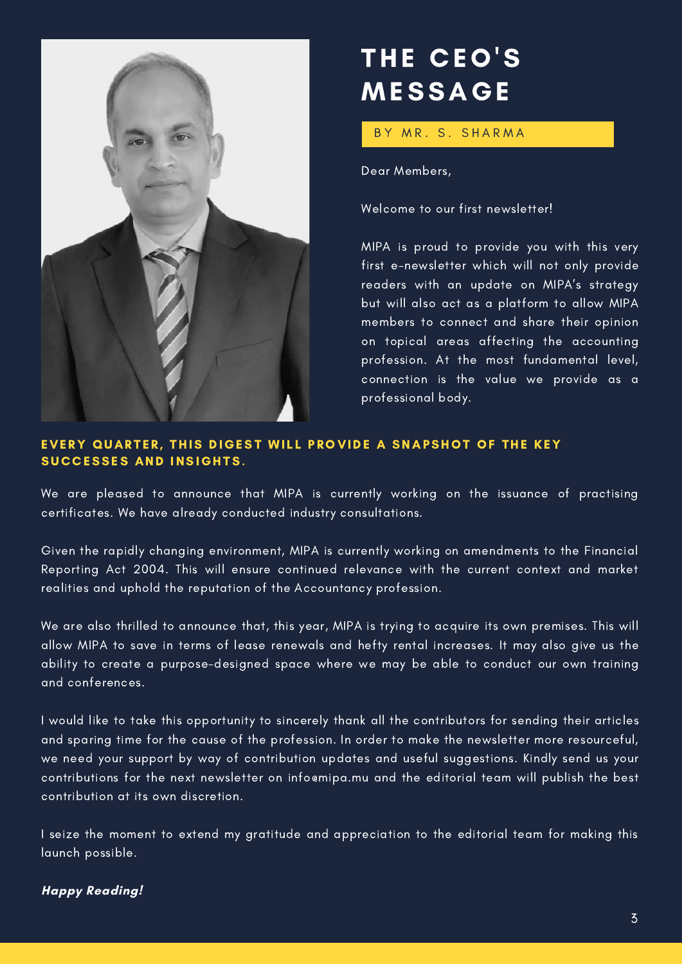

## THE CEO'S MESSAGE

BY MR. S. SHARMA

Dear Members,

Welcome to our first newsletter!

MIPA is proud to provide you with this very first e-newsletter which will not only provide readers with an update on MIPA's strategy but will also act as a platform to allow MIPA members to connect and share their opinion on topical areas affecting the accounting profession. At the most fundamental level, connection is the value we provide as a professional body.

#### EVERY QUARTER, THIS DIGEST WILL PROVIDE A SNAPSHOT OF THE KEY SUCCESSES AND INSIGHTS.

We are pleased to announce that MIPA is currently working on the issuance of practising certificates. We have already conducted industry consultations.

Given the rapidly changing environment, MIPA is currently working on amendments to the Financial Reporting Act 2004. This will ensure continued relevance with the current context and market realities and uphold the reputation of the Accountancy profession.

We are also thrilled to announce that, this year, MIPA is trying to acquire its own premises. This will allow MIPA to save in terms of lease renewals and hefty rental increases. It may also give us the ability to create a purpose-designed space where we may be able to conduct our own training and conferences.

I would like to take this opportunity to sincerely thank all the contributors for sending their articles and sparing time for the cause of the profession. In order to make the newsletter more resourceful, we need your support by way of contribution updates and useful suggestions. Kindly send us your contributions for the next newsletter on [info@mipa.mu](mailto:info@mipa.mu) and the editorial team will publish the best contribution at its own discretion.

I seize the moment to extend my gratitude and appreciation to the editorial team for making this launch possible.

#### **Happy Reading!**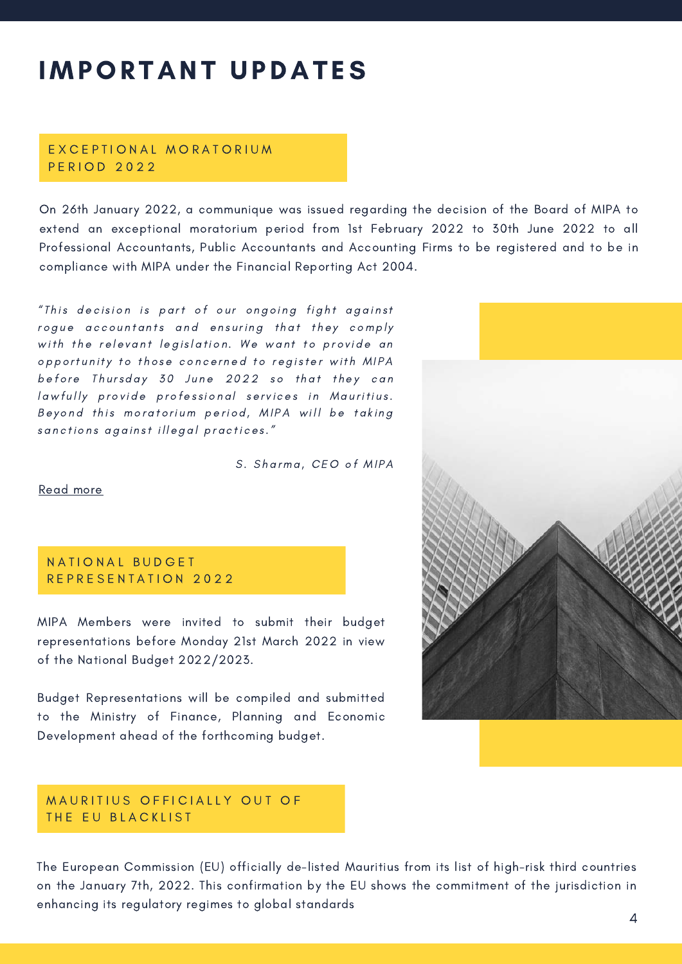## **IMPORTANT UPDATES**

#### E X C E P T I O N A L M O R A T O R I U M P E R I O D 2 0 2 2

On 26th January 2022, a communique was issued regarding the decision of the Board of MIPA to extend an exceptional moratorium period from 1st February 2022 to 30th June 2022 to all Professional Accountants, Public Accountants and Accounting Firms to be registered and to be in compliance with MIPA under the Financial Reporting Act 2004.

"This decision is part of our ongoing fight against rogue accountants and ensuring that they comply with the relevant legislation. We want to provide an opportunity to those concerned to register with MIPA before Thursday 30 June 2022 so that they can lawfully provide professional services in Mauritius. Beyond this moratorium period, MIPA will be taking sanctions against illegal practices."

S. Sharma, CEO of MIPA

#### [Read](https://www.mipa.mu/assets/upload/gallery_large/1551191170_MIPA%20Communiqu%C3%A9%20-%20Moratorium%20Period%202022-1.png) more

#### N A T I O N A L BUD G E T REPRESENTATION 2022

MIPA Members were invited to submit their budget representations before Monday 21st March 2022 in view of the National Budget 2022/2023.

Budget Representations will be compiled and submitted to the Ministry of Finance, Planning and Economic Development ahead of the forthcoming budget.

#### MAURITIUS OFFICIALLY OUT OF THE EU BLACKLIST

The European Commission (EU) officially de-listed Mauritius from its list of high-risk third countries on the January 7th, 2022. This confirmation by the EU shows the commitment of the jurisdiction in enhancing its regulatory regimes to global standards

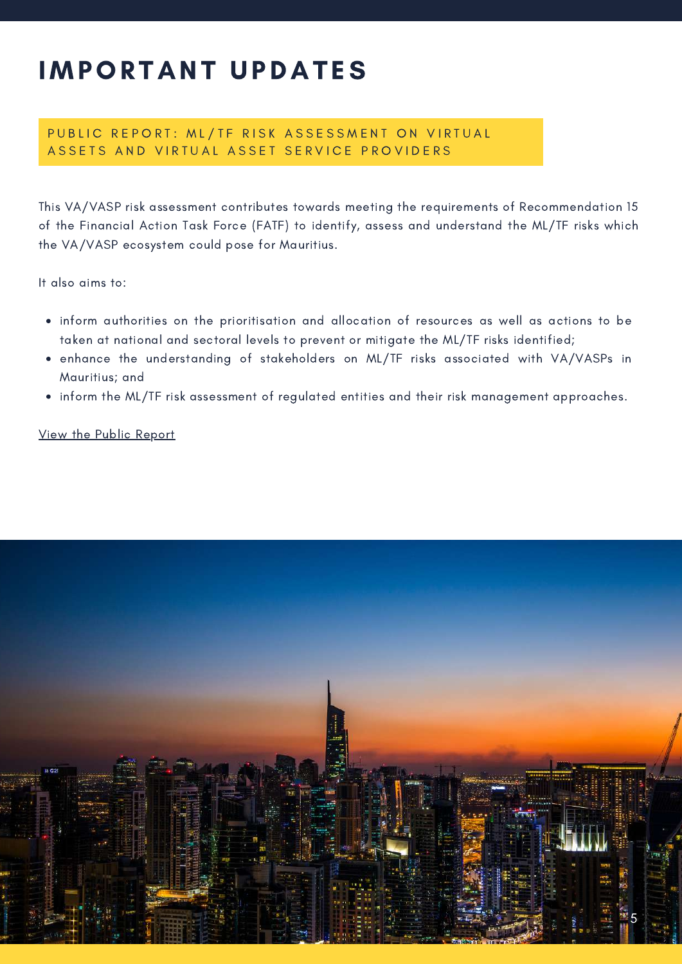### **IMPORTANT UPDATES**

#### PUBLIC REPORT: ML/TF RISK ASSESSMENT ON VIRTUAL ASSETS AND VIRTUAL ASSET SERVICE PROVIDERS

This VA/VASP risk assessment contributes towards meeting the requirements of Recommendation 15 of the Financial Action Task Force (FATF) to identify, assess and understand the ML/TF risks which the VA/VASP ecosystem could pose for Mauritius.

It also aims to:

- inform authorities on the prioritisation and allocation of resources as well as actions to be taken at national and sectoral levels to prevent or mitigate the ML/TF risks identified;
- enhance the understanding of stakeholders on ML/TF risks associated with VA/VASPs in Mauritius; and
- inform the ML/TF risk assessment of regulated entities and their risk management approaches.

View the Public [Report](https://financialservices.govmu.org/Documents/Public%20Version%20of%20the%20VA_VASP%20Risk%20Assessment%20report%2024%20Feb%202022.pdf)

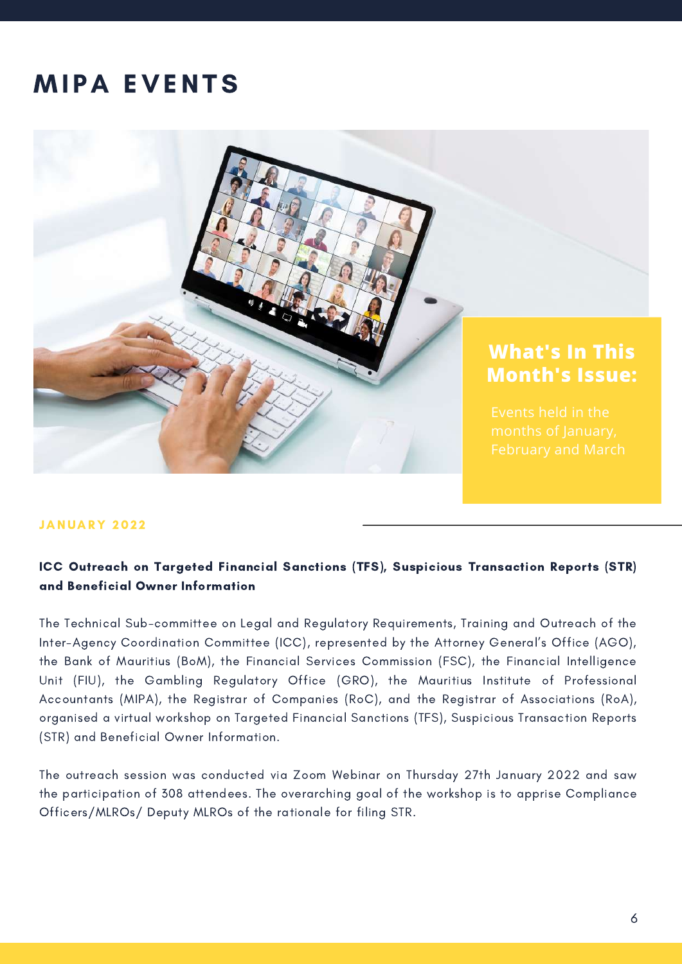### **MIPA EVENTS**



#### **JANUARY 2022**

#### ICC Outreach on Targeted Financial Sanctions (TFS), Suspicious Transaction Reports (STR) and Beneficial Owner Information

The Technical Sub-committee on Legal and Regulatory Requirements, Training and Outreach of the Inter-Agency Coordination Committee (ICC), represented by the Attorney General's Office (AGO), the Bank of Mauritius (BoM), the Financial Services Commission (FSC), the Financial Intelligence Unit (FIU), the Gambling Regulatory Office (GRO), the Mauritius Institute of Professional Accountants (MIPA), the Registrar of Companies (RoC), and the Registrar of Associations (RoA), organised a virtual workshop on Targeted Financial Sanctions (TFS), Suspicious Transaction Reports (STR) and Beneficial Owner Information.

The outreach session was conducted via Zoom Webinar on Thursday 27th January 2022 and saw the participation of 308 attendees. The overarching goal of the workshop is to apprise Compliance Officers/MLROs/ Deputy MLROs of the rationale for filing STR.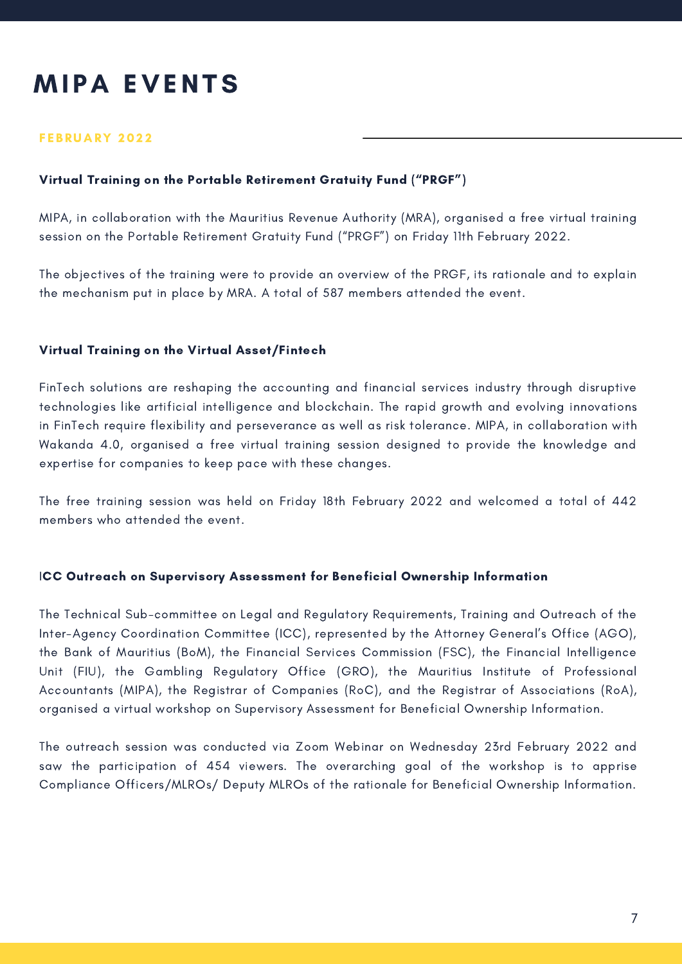### **MIPA EVENTS**

#### FEBRUARY 2022

#### Virtual Training on the Portable Retirement Gratuity Fund ("PRGF")

MIPA, in collaboration with the Mauritius Revenue Authority (MRA), organised a free virtual training session on the Portable Retirement Gratuity Fund ("PRGF") on Friday 11th February 2022.

The objectives of the training were to provide an overview of the PRGF, its rationale and to explain the mechanism put in place by MRA. A total of 587 members attended the event.

#### Virtual Training on the Virtual Asset/Fintech

FinTech solutions are reshaping the accounting and financial services industry through disruptive technologies like artificial intelligence and blockchain. The rapid growth and evolving innovations in FinTech require flexibility and perseverance as well as risk tolerance. MIPA, in collaboration with Wakanda 4.0, organised a free virtual training session designed to provide the knowledge and expertise for companies to keep pace with these changes.

The free training session was held on Friday 18th February 2022 and welcomed a total of 442 members who attended the event.

#### ICC Outreach on Supervisory Assessment for Beneficial Ownership Information

The Technical Sub-committee on Legal and Regulatory Requirements, Training and Outreach of the Inter-Agency Coordination Committee (ICC), represented by the Attorney General's Office (AGO), the Bank of Mauritius (BoM), the Financial Services Commission (FSC), the Financial Intelligence Unit (FIU), the Gambling Regulatory Office (GRO), the Mauritius Institute of Professional Accountants (MIPA), the Registrar of Companies (RoC), and the Registrar of Associations (RoA), organised a virtual workshop on Supervisory Assessment for Beneficial Ownership Information.

The outreach session was conducted via Zoom Webinar on Wednesday 23rd February 2022 and saw the participation of 454 viewers. The overarching goal of the workshop is to apprise Compliance Officers/MLROs/ Deputy MLROs of the rationale for Beneficial Ownership Information.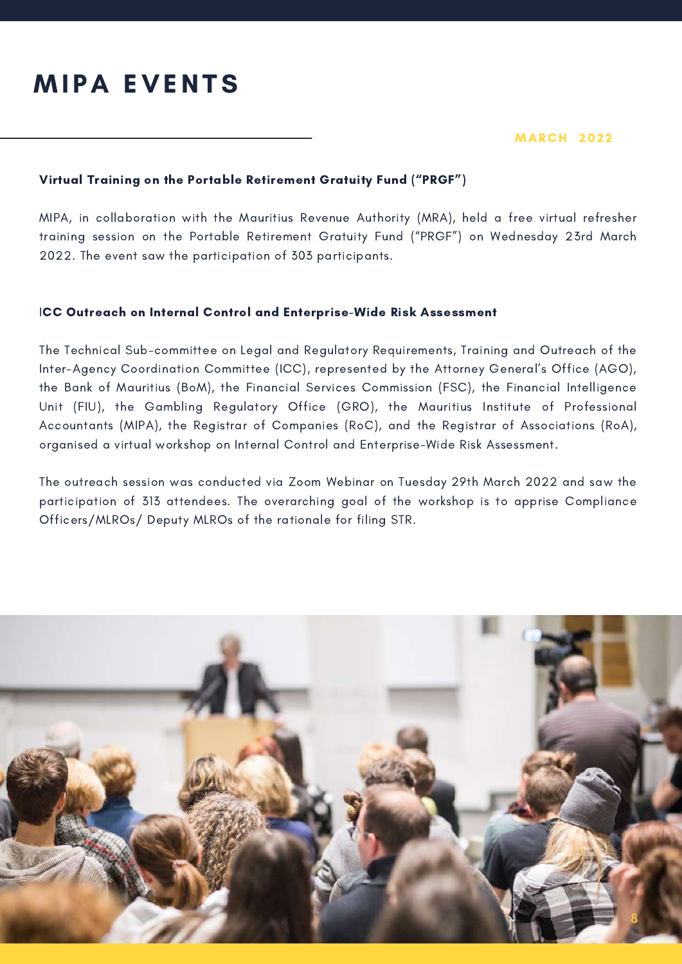### **MIPA EVENTS**

#### **MARCH 2022**

#### Virtual Training on the Portable Retirement Gratuity Fund ("PRGF")

MIPA, in collaboration with the Mauritius Revenue Authority (MRA), held a free virtual refresher training session on the Portable Retirement Gratuity Fund ("PRGF") on Wednesday 23rd March 2022. The event saw the participation of 303 participants.

#### ICC Outreach on Internal Control and Enterprise-Wide Risk Assessment

The Technical Sub-committee on Legal and Regulatory Requirements, Training and Outreach of the Inter-Agency Coordination Committee (ICC), represented by the Attorney General's Office (AGO), the Bank of Mauritius (BoM), the Financial Services Commission (FSC), the Financial Intelligence Unit (FIU), the Gambling Regulatory Office (GRO), the Mauritius Institute of Professional Accountants (MIPA), the Registrar of Companies (RoC), and the Registrar of Associations (RoA), organised a virtual workshop on Internal Control and Enterprise-Wide Risk Assessment.

The outreach session was conducted via Zoom Webinar on Tuesday 29th March 2022 and saw the participation of 313 attendees. The overarching goal of the workshop is to apprise Compliance Officers/MLROs/ Deputy MLROs of the rationale for filing STR.

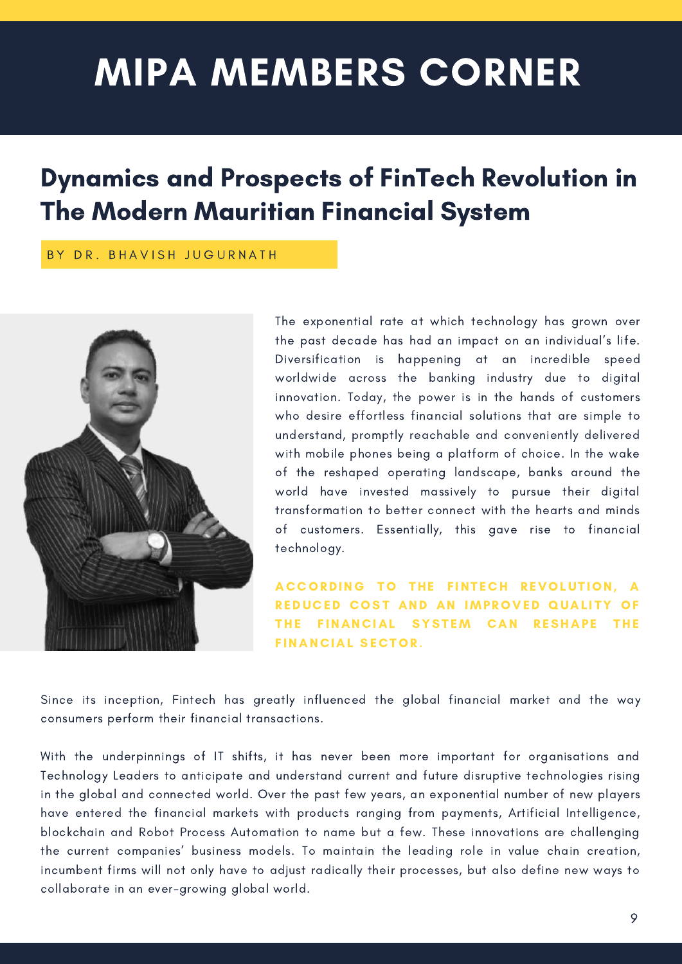# MIPA MEMBERS CORNER

### Dynamics and Prospects of FinTech Revolution in The Modern Mauritian Financial System

#### BY DR. BHAVISH JUGURNATH



The exponential rate at which technology has grown over the past decade has had an impact on an individual's life. Diversification is happening at an incredible speed worldwide across the banking industry due to digital innovation. Today, the power is in the hands of customers who desire effortless financial solutions that are simple to understand, promptly reachable and conveniently delivered with mobile phones being a platform of choice. In the wake of the reshaped operating landscape, banks around the world have invested massively to pursue their digital transformation to better connect with the hearts and minds of customers. Essentially, this gave rise to financial technology.

ACCORDING TO THE FINTECH REVOLUTION, A REDUCED COST AND AN IMPROVED QUALITY OF THE FINANCIAL SYSTEM CAN RESHAPE THE FINANCIAL SECTOR.

Since its inception, Fintech has greatly influenced the global financial market and the way consumers perform their financial transactions.

With the underpinnings of IT shifts, it has never been more important for organisations and Technology Leaders to anticipate and understand current and future disruptive technologies rising in the global and connected world. Over the past few years, an exponential number of new players have entered the financial markets with products ranging from payments, Artificial Intelligence, blockchain and Robot Process Automation to name but a few. These innovations are challenging the current companies' business models. To maintain the leading role in value chain creation, incumbent firms will not only have to adjust radically their processes, but also define new ways to collaborate in an ever-growing global world.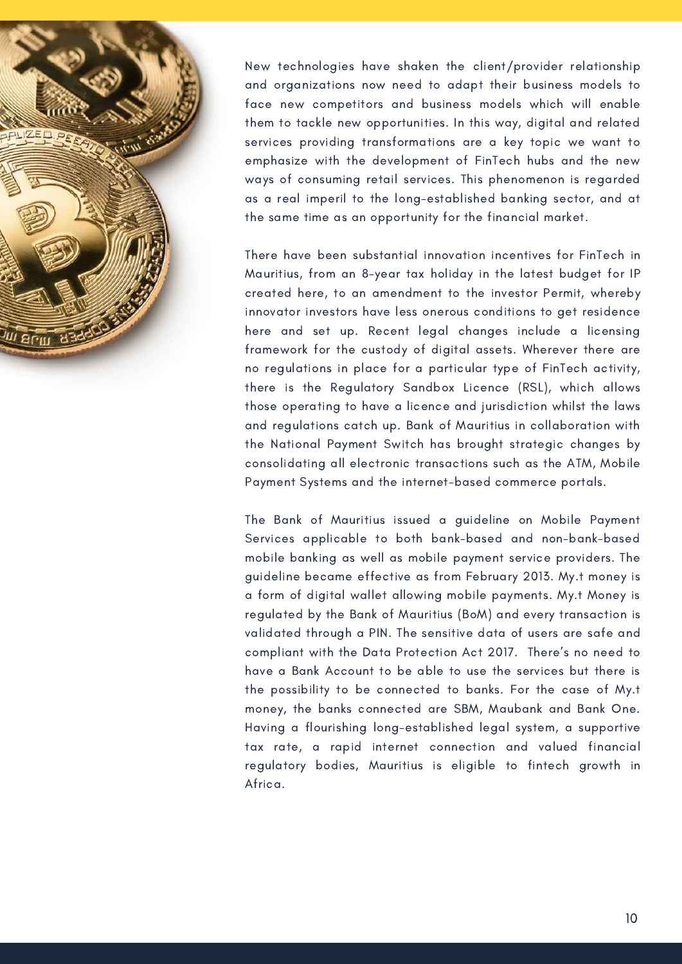

New technologies have shaken the client/provider relationship and organizations now need to adapt their business models to face new competitors and business models which will enable them to tackle new opportunities. In this way, digital and related services providing transformations are a key topic we want to emphasize with the development of FinTech hubs and the new ways of consuming retail services. This phenomenon is regarded as a real imperil to the long-established banking sector, and at the same time as an opportunity for the financial market.

There have been substantial innovation incentives for FinTech in Mauritius, from an 8-year tax holiday in the latest budget for IP created here, to an amendment to the investor Permit, whereby innovator investors have less onerous conditions to get residence here and set up. Recent legal changes include a licensing framework for the custody of digital assets. Wherever there are no regulations in place for a particular type of FinTech activity, there is the Regulatory Sandbox Licence (RSL), which allows those operating to have a licence and jurisdiction whilst the laws and regulations catch up. Bank of Mauritius in collaboration with the National Payment Switch has brought strategic changes by consolidating all electronic transactions such as the ATM, Mobile Payment Systems and the internet-based commerce portals.

The Bank of Mauritius issued a guideline on Mobile Payment Services applicable to both bank-based and non-bank-based mobile banking as well as mobile payment service providers. The guideline became effective as from February 2013. My.t money is a form of digital wallet allowing mobile payments. My.t Money is regulated by the Bank of Mauritius (BoM) and every transaction is validated through a PIN. The sensitive data of users are safe and compliant with the Data Protection Act 2017. There's no need to have a Bank Account to be able to use the services but there is the possibility to be connected to banks. For the case of My.t money, the banks connected are SBM, Maubank and Bank One. Having a flourishing long-established legal system, a supportive tax rate, a rapid internet connection and valued financial regulatory bodies, Mauritius is eligible to fintech growth in Africa.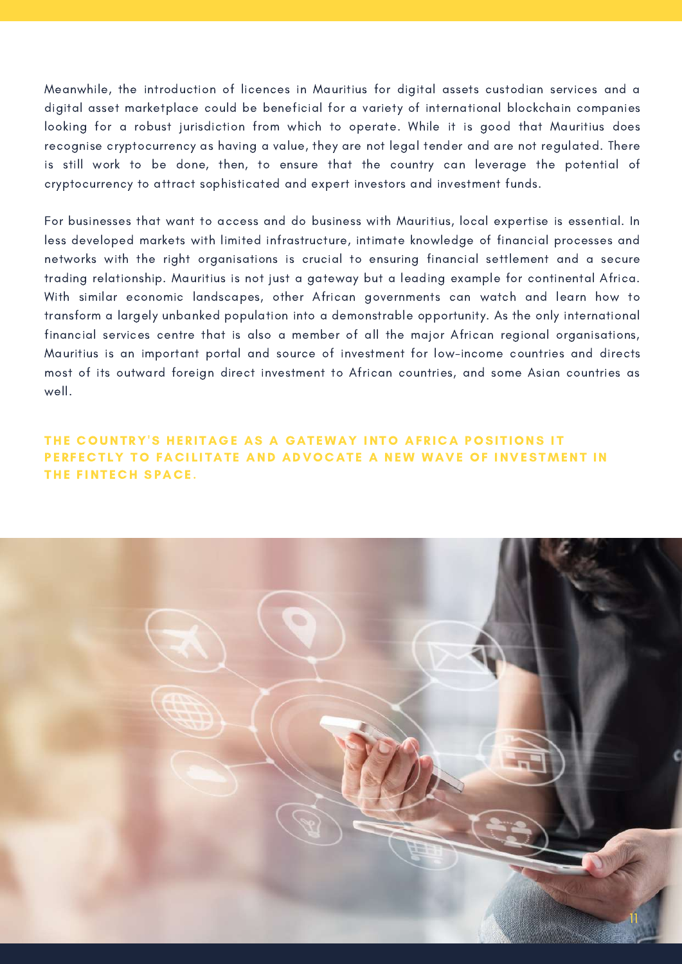Meanwhile, the introduction of licences in Mauritius for digital assets custodian services and a digital asset marketplace could be beneficial for a variety of international blockchain companies looking for a robust jurisdiction from which to operate. While it is good that Mauritius does recognise cryptocurrency as having a value, they are not legal tender and are not regulated. There is still work to be done, then, to ensure that the country can leverage the potential of cryptocurrency to attract sophisticated and expert investors and investment funds.

For businesses that want to access and do business with Mauritius, local expertise is essential. In less developed markets with limited infrastructure, intimate knowledge of financial processes and networks with the right organisations is crucial to ensuring financial settlement and a secure trading relationship. Mauritius is not just a gateway but a leading example for continental Africa. With similar economic landscapes, other African governments can watch and learn how to transform a largely unbanked population into a demonstrable opportunity. As the only international financial services centre that is also a member of all the major African regional organisations, Mauritius is an important portal and source of investment for low-income countries and directs most of its outward foreign direct investment to African countries, and some Asian countries as well.

#### THE COUNTRY'S HERITAGE AS A GATEWAY INTO AFRICA POSITIONS IT PERFECTLY TO FACILITATE AND ADVOCATE A NEW WAVE OF INVESTMENT IN THE FINTECH SPACE.

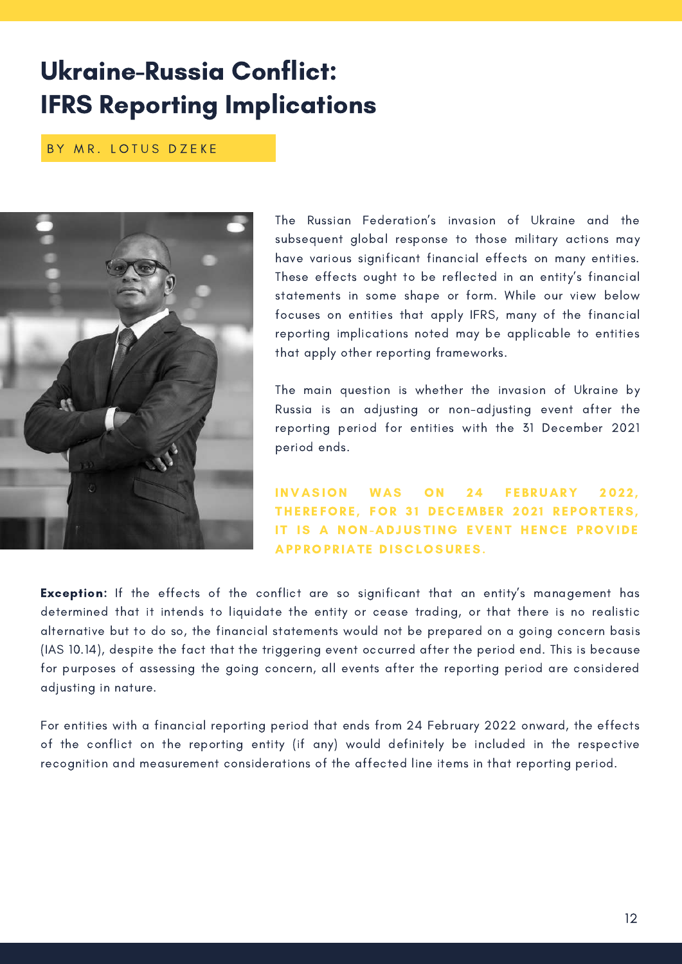### Ukraine-Russia Conflict: IFRS Reporting Implications

BY MR. LOTUS DZEKE



The Russian Federation's invasion of Ukraine and the subsequent global response to those military actions may have various significant financial effects on many entities. These effects ought to be reflected in an entity's financial statements in some shape or form. While our view below focuses on entities that apply IFRS, many of the financial reporting implications noted may be applicable to entities that apply other reporting frameworks.

The main question is whether the invasion of Ukraine by Russia is an adjusting or non-adjusting event after the reporting period for entities with the 31 December 2021 period ends.

INVASION WAS ON 24 FEBRUARY 2022. THEREFORE, FOR 31 DECEMBER 2021 REPORTERS, IT IS A NON-ADJUSTING EVENT HENCE PROVIDE APPROPRIATE DISCLOSURES.

**Exception:** If the effects of the conflict are so significant that an entity's management has determined that it intends to liquidate the entity or cease trading, or that there is no realistic alternative but to do so, the financial statements would not be prepared on a going concern basis (IAS 10.14), despite the fact that the triggering event occurred after the period end. This is because for purposes of assessing the going concern, all events after the reporting period are considered adjusting in nature.

For entities with a financial reporting period that ends from 24 February 2022 onward, the effects of the conflict on the reporting entity (if any) would definitely be included in the respective recognition and measurement considerations of the affected line items in that reporting period.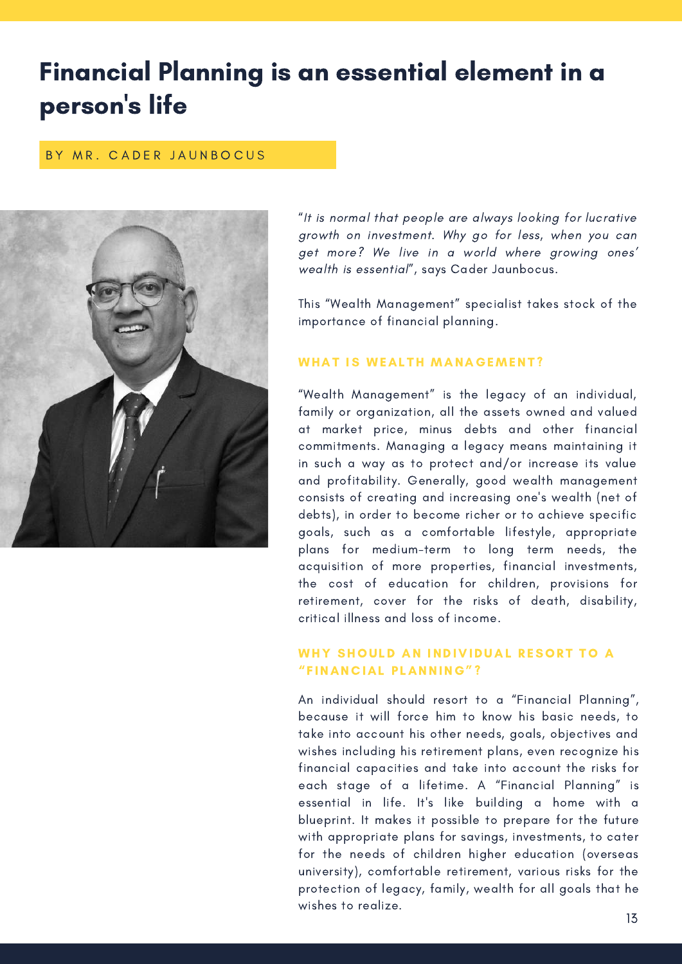### Financial Planning is an essential element in a person 's life

#### BY MR. CADER JAUNBOCUS



"It is normal that people are always looking for lucrative growth on investment. Why go for less, when you can get more? We live in a world where growing ones' wealth is essential", says Cader Jaunbocus.

This "Wealth Management" specialist takes stock of the importance of financial planning.

#### WHAT IS WEALTH MANAGEMENT?

"Wealth Management" is the legacy of an individual, family or organization, all the assets owned and valued at market price, minus debts and other financial commitments. Managing a legacy means maintaining it in such a way as to protect and/or increase its value and profitability. Generally, good wealth management consists of creating and increasing one's wealth (net of debts), in order to become richer or to achieve specific goals, such as a comfortable lifestyle, appropriate plans for medium-term to long term needs, the acquisition of more properties, financial investments, the cost of education for children, provisions for retirement, cover for the risks of death, disability, critical illness and loss of income.

#### WHY SHOULD AN INDIVIDUAL RESORT TO A "FINANCIAL PLANNING"?

An individual should resort to a "Financial Planning", because it will force him to know his basic needs, to take into account his other needs, goals, objectives and wishes including his retirement plans, even recognize his financial capacities and take into account the risks for each stage of a lifetime. A "Financial Planning" is essential in life. It's like building a home with a blueprint. It makes it possible to prepare for the future with appropriate plans for savings, investments, to cater for the needs of children higher education (overseas university), comfortable retirement, various risks for the protection of legacy, family, wealth for all goals that he wishes to realize.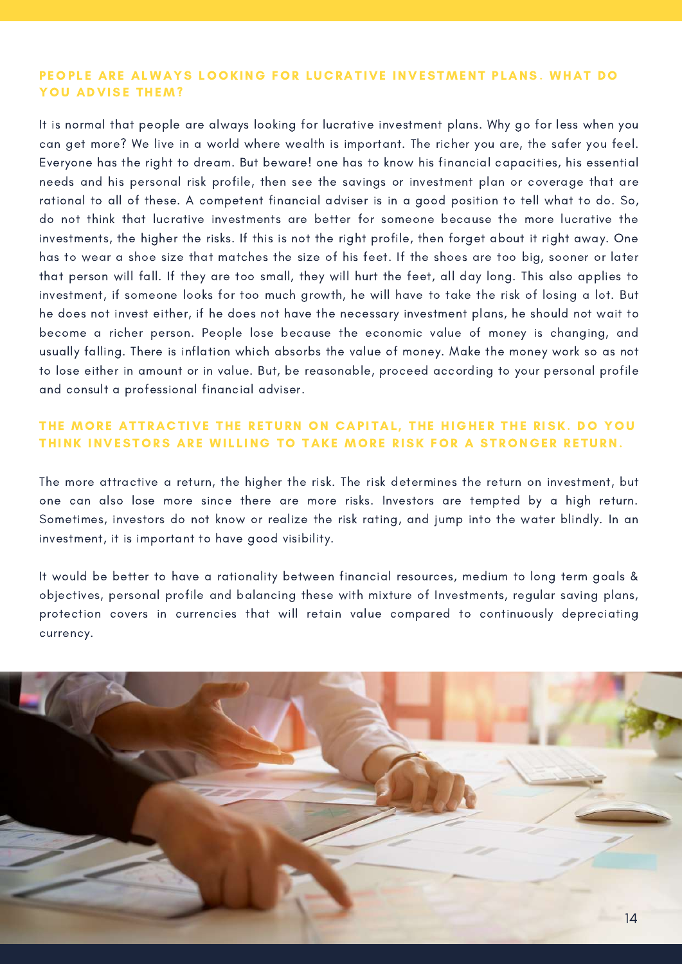#### PEOPLE ARE ALWAYS LOOKING FOR LUCRATIVE INVESTMENT PLANS. WHAT DO YOU ADVISE THEM?

It is normal that people are always looking for lucrative investment plans. Why go for less when you can get more? We live in a world where wealth is important. The richer you are, the safer you feel. Everyone has the right to dream. But beware! one has to know his financial capacities, his essential needs and his personal risk profile, then see the savings or investment plan or coverage that are rational to all of these. A competent financial adviser is in a good position to tell what to do. So, do not think that lucrative investments are better for someone because the more lucrative the investments, the higher the risks. If this is not the right profile, then forget about it right away. One has to wear a shoe size that matches the size of his feet. If the shoes are too big, sooner or later that person will fall. If they are too small, they will hurt the feet, all day long. This also applies to investment, if someone looks for too much growth, he will have to take the risk of losing a lot. But he does not invest either, if he does not have the necessary investment plans, he should not wait to become a richer person. People lose because the economic value of money is changing, and usually falling. There is inflation which absorbs the value of money. Make the money work so as not to lose either in amount or in value. But, be reasonable, proceed according to your personal profile and consult a professional financial adviser.

#### THE MORE ATTRACTIVE THE RETURN ON CAPITAL, THE HIGHER THE RISK. DO YOU THINK INVESTORS ARE WILLING TO TAKE MORE RISK FOR A STRONGER RETURN.

The more attractive a return, the higher the risk. The risk determines the return on investment, but one can also lose more since there are more risks. Investors are tempted by a high return. Sometimes, investors do not know or realize the risk rating, and jump into the water blindly. In an investment, it is important to have good visibility.

It would be better to have a rationality between financial resources, medium to long term goals & objectives, personal profile and balancing these with mixture of Investments, regular saving plans, protection covers in currencies that will retain value compared to continuously depreciating currency.

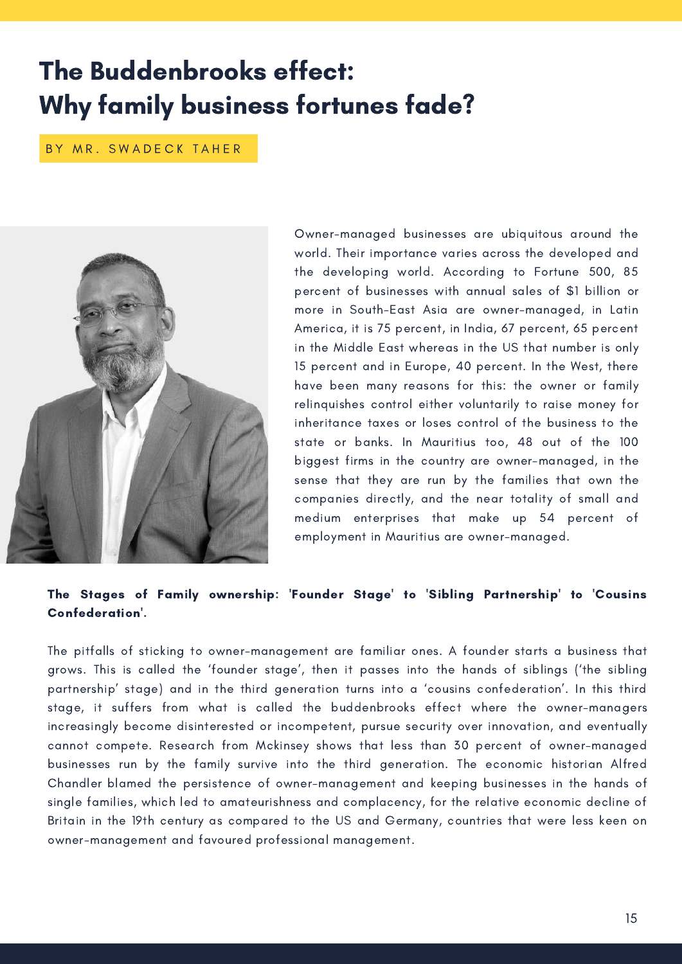### The Buddenbrooks effect: Why family business fortunes fade?

BY MR. SWADECK TAHER



Owner-managed businesses are ubiquitous around the world. Their importance varies across the developed and the developing world. According to Fortune 500, 85 percent of businesses with annual sales of \$1 billion or more in South-East Asia are owner-managed, in Latin America, it is 75 percent, in India, 67 percent, 65 percent in the Middle East whereas in the US that number is only 15 percent and in Europe, 40 percent. In the West, there have been many [reasons](https://www.jstor.org/stable/40694796) for this: the owner or family relinquishes control either voluntarily to raise money for inheritance taxes or loses control of the business to the state or banks. In Mauritius too, 48 out of the 100 biggest firms in the country are owner-managed, in the sense that they are run by the families that own the companies directly, and the near totality of small and medium enterprises that make up 54 percent of employment in Mauritius are owner-managed.

#### The Stages of Family ownership: 'Founder Stage' to 'Sibling Partnership' to 'Cousins Confederation'.

The pitfalls of sticking to owner-management are familiar ones. A founder starts a business that grows. This is called the 'founder stage', then it passes into the hands of siblings ('the sibling partnership' stage) and in the third generation turns into a 'cousins confederation'. In this third stage, it suffers from what is called the [buddenbrooks](https://www.jstor.org/stable/40694796) effect where the owner-managers increasingly become disinterested or incompetent, pursue security over innovation, and eventually cannot compete. [Research](https://www.mckinsey.com/business-functions/people-and-organizational-performance/our-insights/the-five-attributes-of-enduring-family-businesses) from Mckinsey shows that less than 30 percent of owner-managed businesses run by the family survive into the third generation. The economic historian Alfred Chandler blamed the persistence of [owner-management](https://hbr.org/2011/03/family-firms-need-professional) and keeping businesses in the hands of single families, which led to amateurishness and complacency, for the relative economic decline of Britain in the 19th century as compared to the US and Germany, countries that were less keen on owner-management and favoured professional management.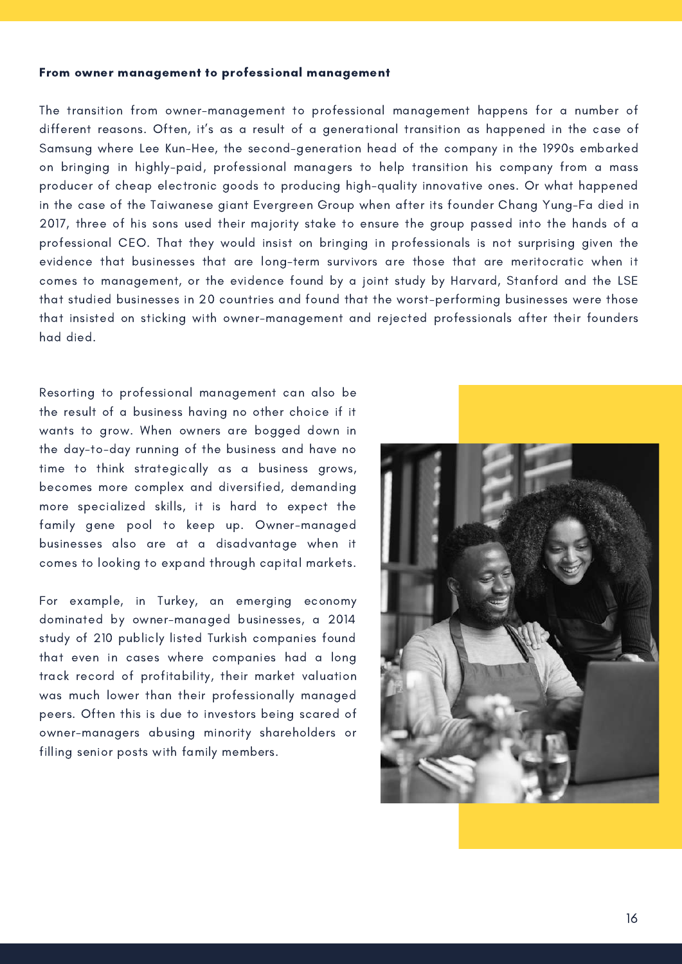#### From owner management to professional management

The transition from owner-management to professional management happens for a number of different reasons. Often, it's as a result of a generational transition as happened in the case of [Samsung](https://knowledge.insead.edu/blog/insead-blog/family-business-longevity-requires-owners-to-step-back-9251) where Lee Kun-Hee, the second-generation head of the company in the 1990s embarked on bringing in highly-paid, professional managers to help transition his company from a mass producer of cheap electronic goods to producing high-quality innovative ones. Or what happened in the case of the Taiwanese giant [Evergreen](https://knowledge.insead.edu/blog/insead-blog/family-business-longevity-requires-owners-to-step-back-9251) Group when after its founder Chang Yung-Fa died in 2017, three of his sons used their majority stake to ensure the group passed into the hands of a professional CEO. That they would insist on bringing in professionals is not surprising given the evidence that [businesses](https://www.mckinsey.com/business-functions/people-and-organizational-performance/our-insights/the-five-attributes-of-enduring-family-businesses) that are long-term survivors are those that are meritocratic when it comes to management, or the evidence found by a joint study by Harvard, [Stanford](https://hbr.org/2011/03/family-firms-need-professional) and the LSE that studied businesses in 20 countries and found that the worst-performing businesses were those that insisted on sticking with owner-management and rejected professionals after their founders had died.

Resorting to professional management can also be the result of a business having no other choice if it wants to grow. When owners are bogged down in the day-to-day running of the business and have no time to think strategically as a business grows, becomes more complex and diversified, demanding more specialized skills, it is hard to expect the family gene pool to keep up. Owner-managed businesses also are at a disadvantage when it comes to looking to expand through capital markets.

For example, in Turkey, an emerging economy dominated by [owner-managed](https://www.cairn.info/revue-de-l-entrepreneuriat-2014-3-page-143.htm) businesses, a 2014 study of 210 publicly listed Turkish companies found that even in cases where companies had a long track record of profitability, their market valuation was much lower than their professionally managed peers. Often this is due to investors being scared of owner-managers abusing minority shareholders or filling senior posts with family members.

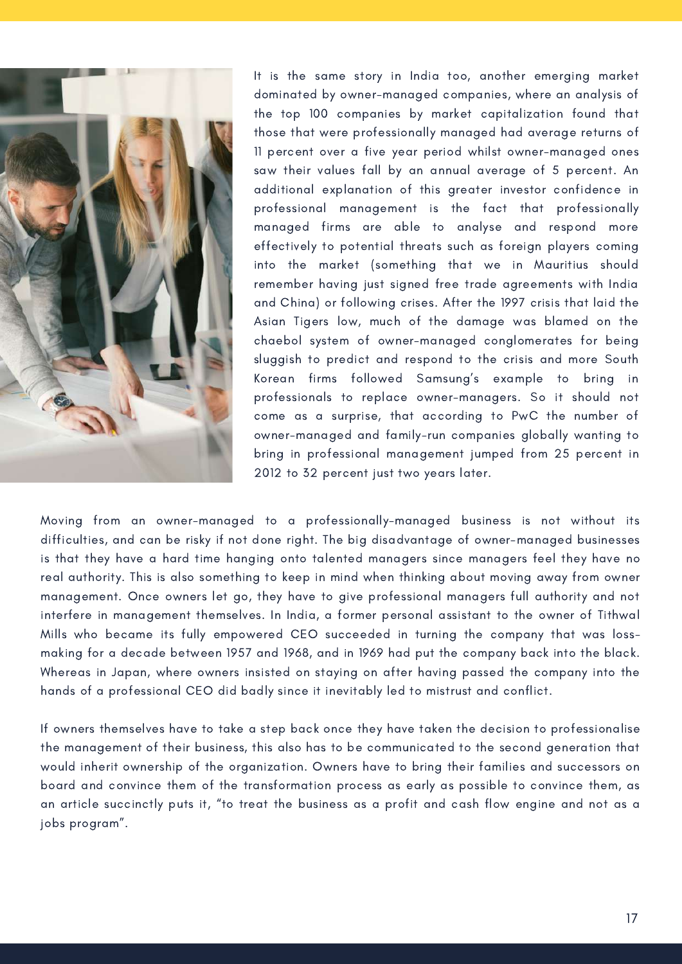

It is the same story in India too, another emerging market dominated by [owner-managed](https://www.business-standard.com/article/companies/professionally-managed-firms-offer-better-returns-than-family-businesses-113042600765_1.html) companies, where an analysis of the top 100 companies by market capitalization found that those that were professionally managed had average returns of 11 percent over a five year period whilst owner-managed ones saw their values fall by an annual average of 5 percent. An additional explanation of this greater investor confidence in professional management is the fact that professionally managed firms are able to analyse and respond more [effectively](https://www.jstor.org/stable/24758279) to potential threats such as foreign players coming into the market (something that we in Mauritius should remember having just signed free trade agreements with India and China) or following crises. After the 1997 crisis that laid the Asian Tigers low, much of the damage was blamed on the chaebol system of owner-managed conglomerates for being sluggish to predict and respond to the crisis and more South Korean firms followed Samsung's example to bring in professionals to replace [owner-managers.](https://www.jstor.org/stable/42704273) So it should not come as a surprise, that according to [PwC](https://www.familybusinessmagazine.com/preparing-transition-your-business-leader-outside-family-0) the number of owner-managed and family-run companies globally wanting to bring in professional management jumped from 25 percent in 2012 to 32 percent just two years later.

Moving from an owner-managed to a professionally-managed business is not without its difficulties, and can be risky if not done right. The big disadvantage of owner-managed businesses is that they have a hard time hanging onto talented managers since managers feel they have no real authority. This is also something to keep in mind when thinking about moving away from owner management. Once owners let go, they have to give professional managers full authority and not interfere in [management](https://www.jstor.org/stable/40396962) themselves. In India, a former personal assistant to the owner of Tithwal Mills who became its fully empowered CEO succeeded in turning the company that was lossmaking for a decade between 1957 and 1968, and in 1969 had put the company back into the black. Whereas in [Japan](https://www.jstor.org/stable/43897842), where owners insisted on staying on after having passed the company into the hands of a professional CEO did badly since it inevitably led to mistrust and conflict.

If owners themselves have to take a step back once they have taken the decision to professionalise the management of their business, this also has to be communicated to the second generation that would inherit ownership of the organization. Owners have to bring their families and successors on board and convince them of the transformation process as early as possible to convince them, as an [article](http://www.researchjournali.com/pdf/3951.pdf) succinctly puts it, "to treat the business as a profit and cash flow engine and not as a jobs program".